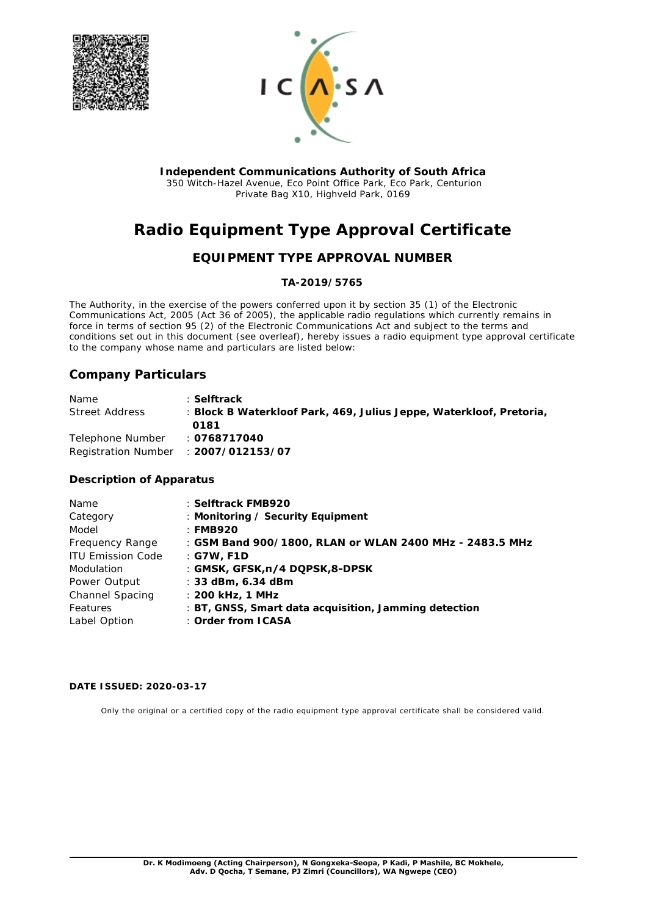



**Independent Communications Authority of South Africa** 350 Witch-Hazel Avenue, Eco Point Office Park, Eco Park, Centurion Private Bag X10, Highveld Park, 0169

# **Radio Equipment Type Approval Certificate**

## **EQUIPMENT TYPE APPROVAL NUMBER**

### **TA-2019/5765**

The Authority, in the exercise of the powers conferred upon it by section 35 (1) of the Electronic Communications Act, 2005 (Act 36 of 2005), the applicable radio regulations which currently remains in force in terms of section 95 (2) of the Electronic Communications Act and subject to the terms and conditions set out in this document (see overleaf), hereby issues a radio equipment type approval certificate to the company whose name and particulars are listed below:

## **Company Particulars**

| <b>Name</b>      | : Selftrack                                                         |
|------------------|---------------------------------------------------------------------|
| Street Address   | : Block B Waterkloof Park, 469, Julius Jeppe, Waterkloof, Pretoria, |
|                  | 0181                                                                |
| Telephone Number | ∴ 0768717040                                                        |
|                  | Registration Number : 2007/012153/07                                |

#### **Description of Apparatus**

| Name                     | : Selftrack FMB920                                      |
|--------------------------|---------------------------------------------------------|
| Category                 | : Monitoring / Security Equipment                       |
| Model                    | ∶ FMB920                                                |
| Frequency Range          | : GSM Band 900/1800, RLAN or WLAN 2400 MHz - 2483.5 MHz |
| <b>ITU Emission Code</b> | : G7W, F1D                                              |
| Modulation               | : GMSK, GFSK, n/4 DQPSK, 8-DPSK                         |
| Power Output             | $\pm$ 33 dBm, 6.34 dBm                                  |
| Channel Spacing          | $\pm$ 200 kHz, 1 MHz                                    |
| Features                 | : BT, GNSS, Smart data acquisition, Jamming detection   |
| Label Option             | : Order from ICASA                                      |

#### **DATE ISSUED: 2020-03-17**

Only the original or a certified copy of the radio equipment type approval certificate shall be considered valid.